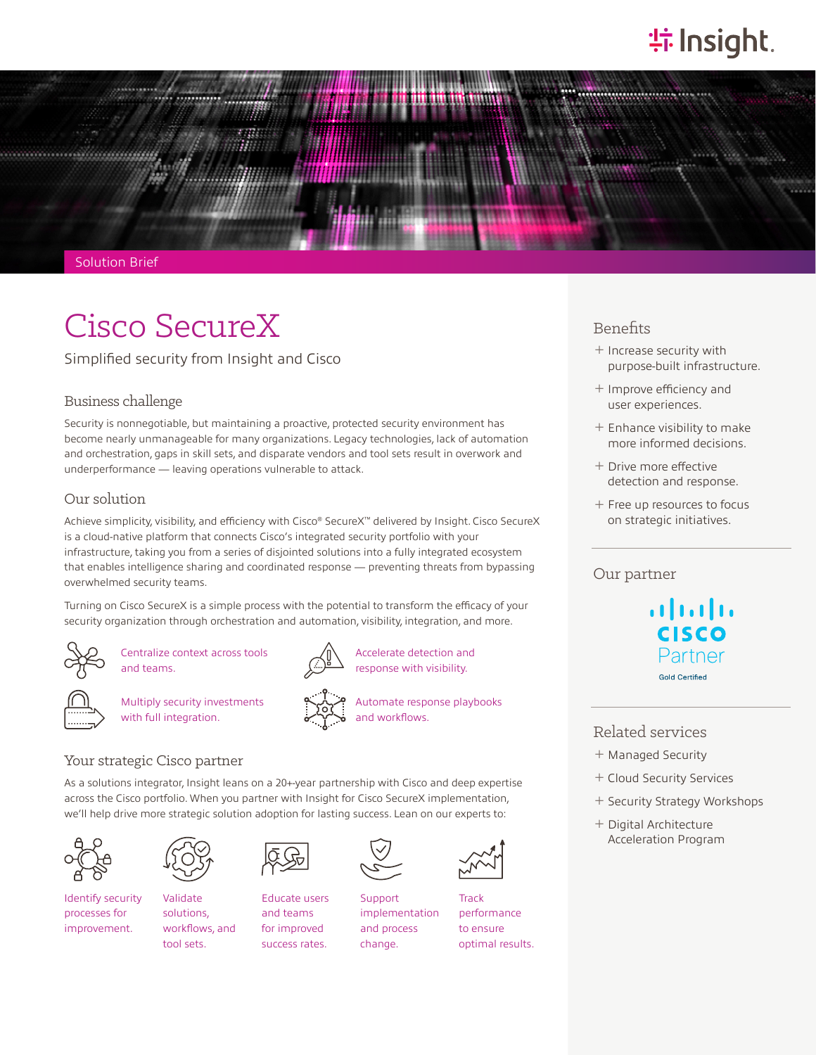## **特Insight**.



# Cisco SecureX

Simplified security from Insight and Cisco

#### Business challenge

Security is nonnegotiable, but maintaining a proactive, protected security environment has become nearly unmanageable for many organizations. Legacy technologies, lack of automation and orchestration, gaps in skill sets, and disparate vendors and tool sets result in overwork and underperformance — leaving operations vulnerable to attack.

#### Our solution

Achieve simplicity, visibility, and efficiency with Cisco® SecureX™ delivered by Insight. Cisco SecureX is a cloud-native platform that connects Cisco's integrated security portfolio with your infrastructure, taking you from a series of disjointed solutions into a fully integrated ecosystem that enables intelligence sharing and coordinated response — preventing threats from bypassing overwhelmed security teams.

Turning on Cisco SecureX is a simple process with the potential to transform the efficacy of your security organization through orchestration and automation, visibility, integration, and more.



Centralize context across tools and teams.



Multiply security investments with full integration.





Automate response playbooks and workflows.

Accelerate detection and

#### Your strategic Cisco partner

As a solutions integrator, Insight leans on a 20+-year partnership with Cisco and deep expertise across the Cisco portfolio. When you partner with Insight for Cisco SecureX implementation, we'll help drive more strategic solution adoption for lasting success. Lean on our experts to:



Identify security processes for improvement.



Validate solutions, workflows, and tool sets.



Support implementation and process change.

Educate users and teams for improved success rates.



**Track** 

performance to ensure optimal results.

### Benefits

- ͓ Increase security with purpose-built infrastructure.
- ͓ Improve efficiency and user experiences.
- ͓ Enhance visibility to make more informed decisions.
- ͓ Drive more effective detection and response.
- ͓ Free up resources to focus on strategic initiatives.

#### Our partner

ahah **CISCO** Partner **Gold Certified** 

#### Related services

- ͓ Managed Security
- ͓ Cloud Security Services
- ͓ Security Strategy Workshops
- ͓ Digital Architecture Acceleration Program